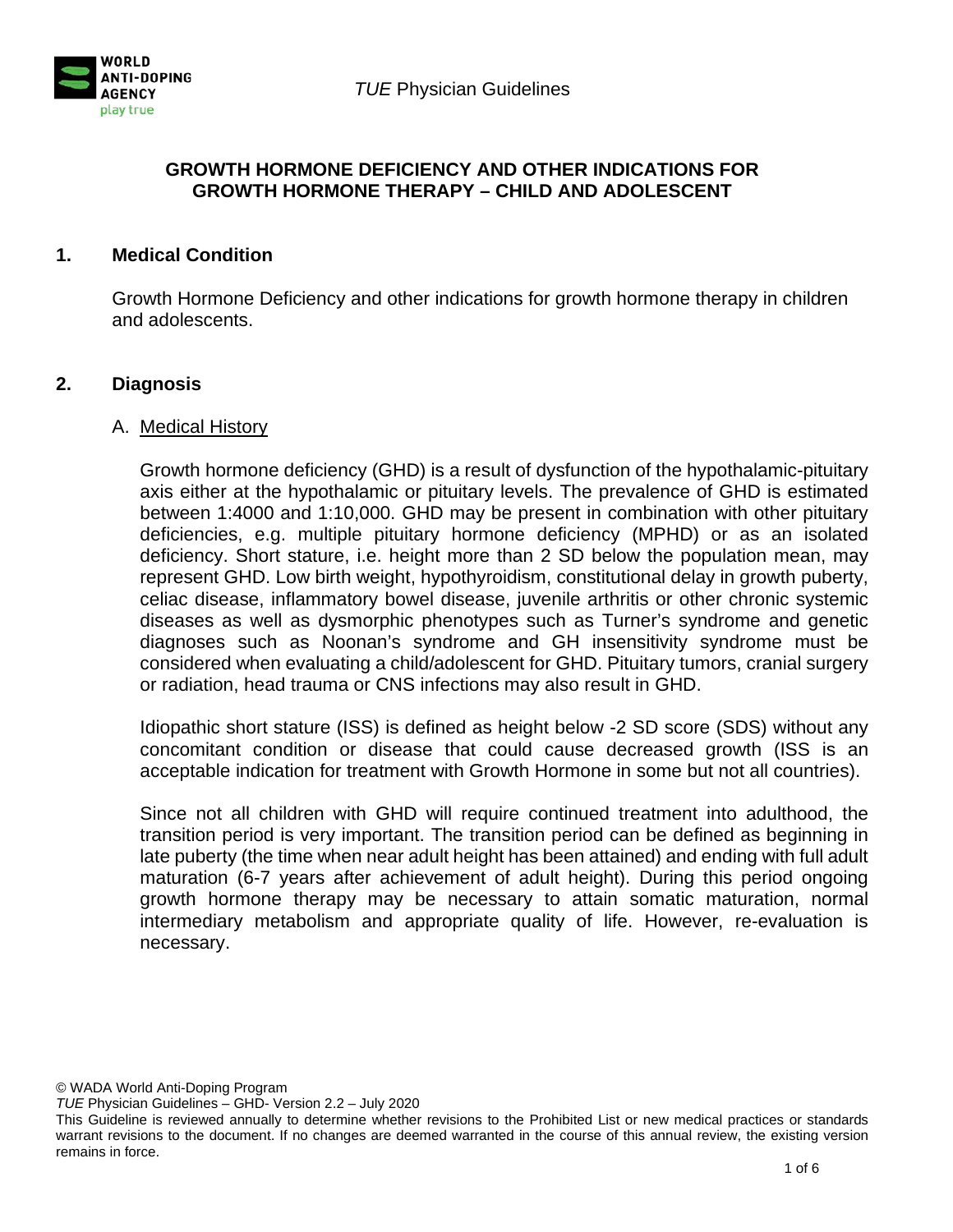



### **GROWTH HORMONE DEFICIENCY AND OTHER INDICATIONS FOR GROWTH HORMONE THERAPY – CHILD AND ADOLESCENT**

## **1. Medical Condition**

Growth Hormone Deficiency and other indications for growth hormone therapy in children and adolescents.

## **2. Diagnosis**

#### A. Medical History

Growth hormone deficiency (GHD) is a result of dysfunction of the hypothalamic-pituitary axis either at the hypothalamic or pituitary levels. The prevalence of GHD is estimated between 1:4000 and 1:10,000. GHD may be present in combination with other pituitary deficiencies, e.g. multiple pituitary hormone deficiency (MPHD) or as an isolated deficiency. Short stature, i.e. height more than 2 SD below the population mean, may represent GHD. Low birth weight, hypothyroidism, constitutional delay in growth puberty, celiac disease, inflammatory bowel disease, juvenile arthritis or other chronic systemic diseases as well as dysmorphic phenotypes such as Turner's syndrome and genetic diagnoses such as Noonan's syndrome and GH insensitivity syndrome must be considered when evaluating a child/adolescent for GHD. Pituitary tumors, cranial surgery or radiation, head trauma or CNS infections may also result in GHD.

Idiopathic short stature (ISS) is defined as height below -2 SD score (SDS) without any concomitant condition or disease that could cause decreased growth (ISS is an acceptable indication for treatment with Growth Hormone in some but not all countries).

Since not all children with GHD will require continued treatment into adulthood, the transition period is very important. The transition period can be defined as beginning in late puberty (the time when near adult height has been attained) and ending with full adult maturation (6-7 years after achievement of adult height). During this period ongoing growth hormone therapy may be necessary to attain somatic maturation, normal intermediary metabolism and appropriate quality of life. However, re-evaluation is necessary.

© WADA World Anti-Doping Program

*TUE* Physician Guidelines – GHD- Version 2.2 – July 2020

This Guideline is reviewed annually to determine whether revisions to the Prohibited List or new medical practices or standards warrant revisions to the document. If no changes are deemed warranted in the course of this annual review, the existing version remains in force.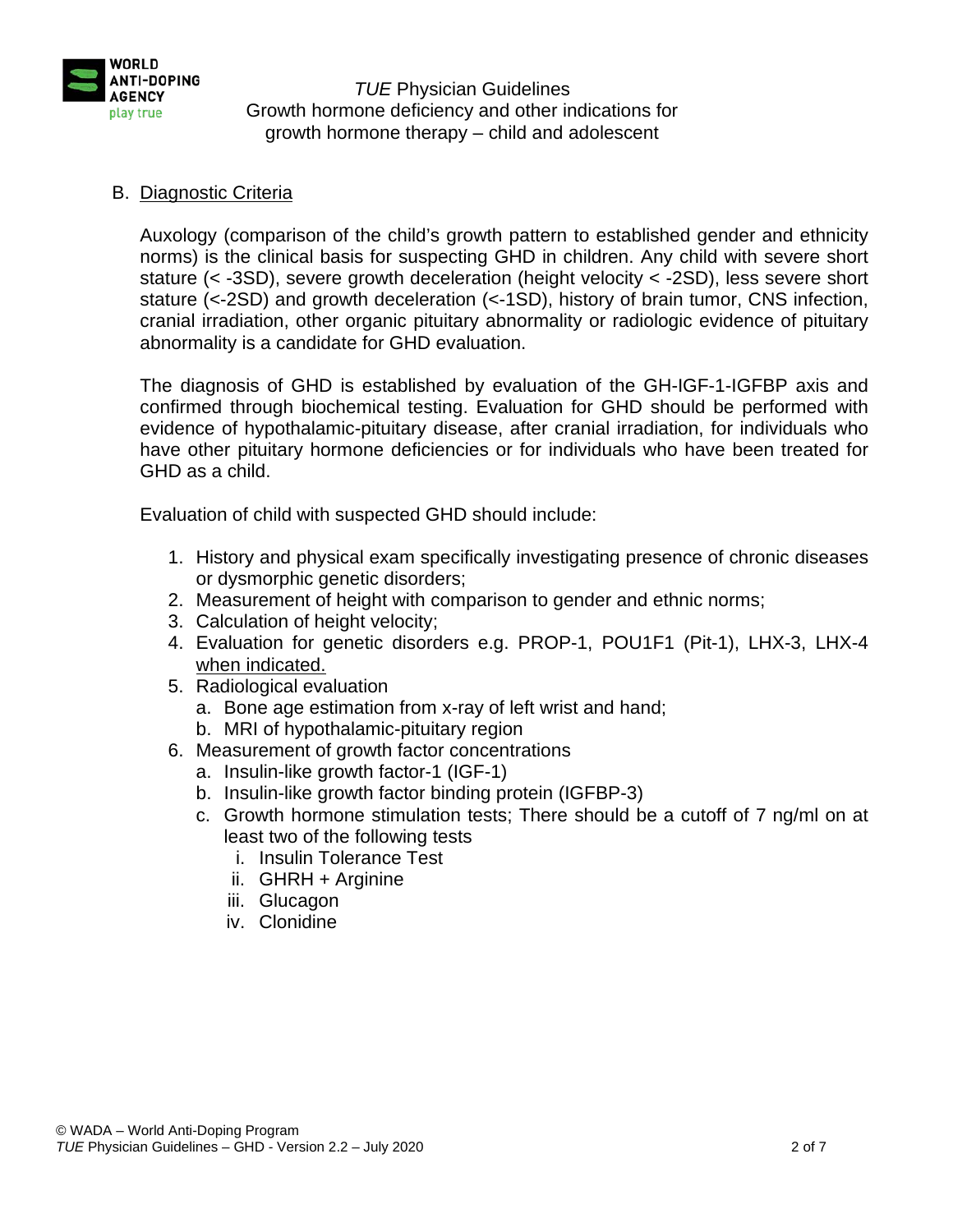

# B. Diagnostic Criteria

Auxology (comparison of the child's growth pattern to established gender and ethnicity norms) is the clinical basis for suspecting GHD in children. Any child with severe short stature (< -3SD), severe growth deceleration (height velocity < -2SD), less severe short stature (<-2SD) and growth deceleration (<-1SD), history of brain tumor, CNS infection, cranial irradiation, other organic pituitary abnormality or radiologic evidence of pituitary abnormality is a candidate for GHD evaluation.

The diagnosis of GHD is established by evaluation of the GH-IGF-1-IGFBP axis and confirmed through biochemical testing. Evaluation for GHD should be performed with evidence of hypothalamic-pituitary disease, after cranial irradiation, for individuals who have other pituitary hormone deficiencies or for individuals who have been treated for GHD as a child.

Evaluation of child with suspected GHD should include:

- 1. History and physical exam specifically investigating presence of chronic diseases or dysmorphic genetic disorders;
- 2. Measurement of height with comparison to gender and ethnic norms;
- 3. Calculation of height velocity;
- 4. Evaluation for genetic disorders e.g. PROP-1, POU1F1 (Pit-1), LHX-3, LHX-4 when indicated.
- 5. Radiological evaluation
	- a. Bone age estimation from x-ray of left wrist and hand;
	- b. MRI of hypothalamic-pituitary region
- 6. Measurement of growth factor concentrations
	- a. Insulin-like growth factor-1 (IGF-1)
	- b. Insulin-like growth factor binding protein (IGFBP-3)
	- c. Growth hormone stimulation tests; There should be a cutoff of 7 ng/ml on at least two of the following tests
		- i. Insulin Tolerance Test
		- ii. GHRH + Arginine
		- iii. Glucagon
		- iv. Clonidine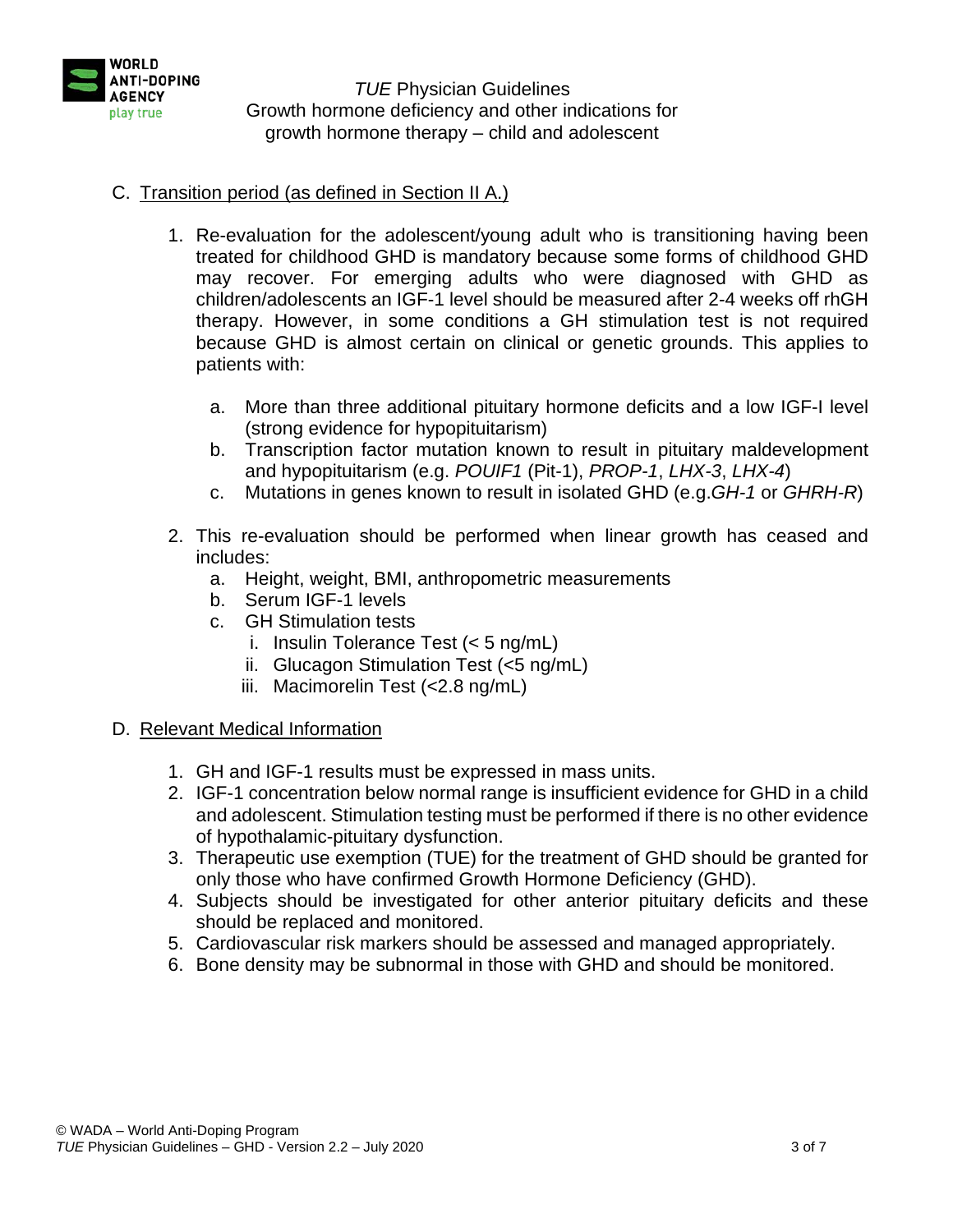

# C. Transition period (as defined in Section II A.)

- 1. Re-evaluation for the adolescent/young adult who is transitioning having been treated for childhood GHD is mandatory because some forms of childhood GHD may recover. For emerging adults who were diagnosed with GHD as children/adolescents an IGF-1 level should be measured after 2-4 weeks off rhGH therapy. However, in some conditions a GH stimulation test is not required because GHD is almost certain on clinical or genetic grounds. This applies to patients with:
	- a. More than three additional pituitary hormone deficits and a low IGF-I level (strong evidence for hypopituitarism)
	- b. Transcription factor mutation known to result in pituitary maldevelopment and hypopituitarism (e.g. *POUIF1* (Pit-1), *PROP-1*, *LHX-3*, *LHX-4*)
	- c. Mutations in genes known to result in isolated GHD (e.g.*GH-1* or *GHRH-R*)
- 2. This re-evaluation should be performed when linear growth has ceased and includes:
	- a. Height, weight, BMI, anthropometric measurements
	- b. Serum IGF-1 levels
	- c. GH Stimulation tests
		- i. Insulin Tolerance Test (< 5 ng/mL)
		- ii. Glucagon Stimulation Test (<5 ng/mL)
		- iii. Macimorelin Test (<2.8 ng/mL)

## D. Relevant Medical Information

- 1. GH and IGF-1 results must be expressed in mass units.
- 2. IGF-1 concentration below normal range is insufficient evidence for GHD in a child and adolescent. Stimulation testing must be performed if there is no other evidence of hypothalamic-pituitary dysfunction.
- 3. Therapeutic use exemption (TUE) for the treatment of GHD should be granted for only those who have confirmed Growth Hormone Deficiency (GHD).
- 4. Subjects should be investigated for other anterior pituitary deficits and these should be replaced and monitored.
- 5. Cardiovascular risk markers should be assessed and managed appropriately.
- 6. Bone density may be subnormal in those with GHD and should be monitored.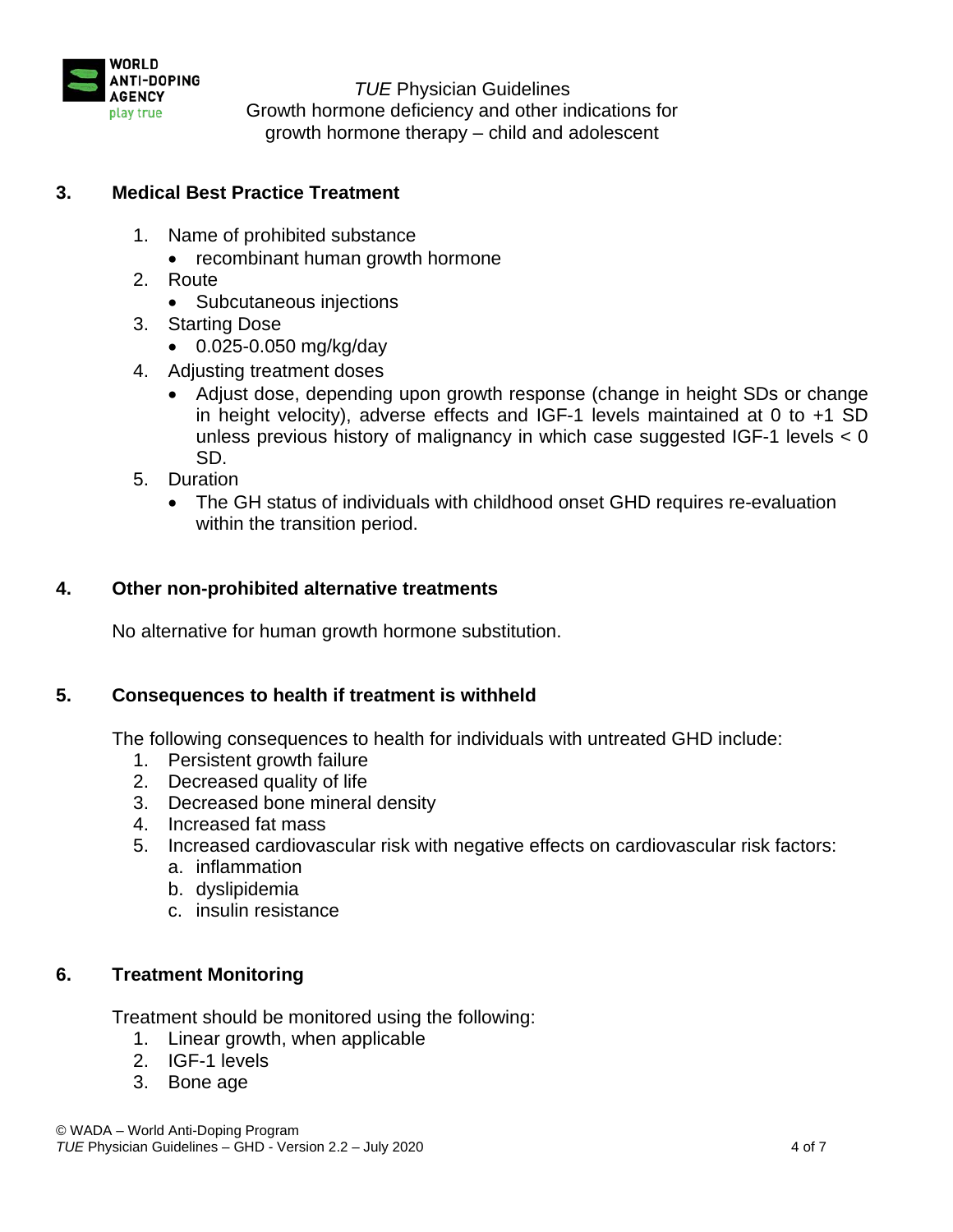

# **3. Medical Best Practice Treatment**

- 1. Name of prohibited substance
	- recombinant human growth hormone
- 2. Route
	- Subcutaneous injections
- 3. Starting Dose
	- 0.025-0.050 mg/kg/day
- 4. Adjusting treatment doses
	- Adjust dose, depending upon growth response (change in height SDs or change in height velocity), adverse effects and IGF-1 levels maintained at 0 to +1 SD unless previous history of malignancy in which case suggested IGF-1 levels < 0 SD.
- 5. Duration
	- The GH status of individuals with childhood onset GHD requires re-evaluation within the transition period.

## **4. Other non-prohibited alternative treatments**

No alternative for human growth hormone substitution.

## **5. Consequences to health if treatment is withheld**

The following consequences to health for individuals with untreated GHD include:

- 1. Persistent growth failure
- 2. Decreased quality of life
- 3. Decreased bone mineral density
- 4. Increased fat mass
- 5. Increased cardiovascular risk with negative effects on cardiovascular risk factors:
	- a. inflammation
	- b. dyslipidemia
	- c. insulin resistance

## **6. Treatment Monitoring**

Treatment should be monitored using the following:

- 1. Linear growth, when applicable
- 2. IGF-1 levels
- 3. Bone age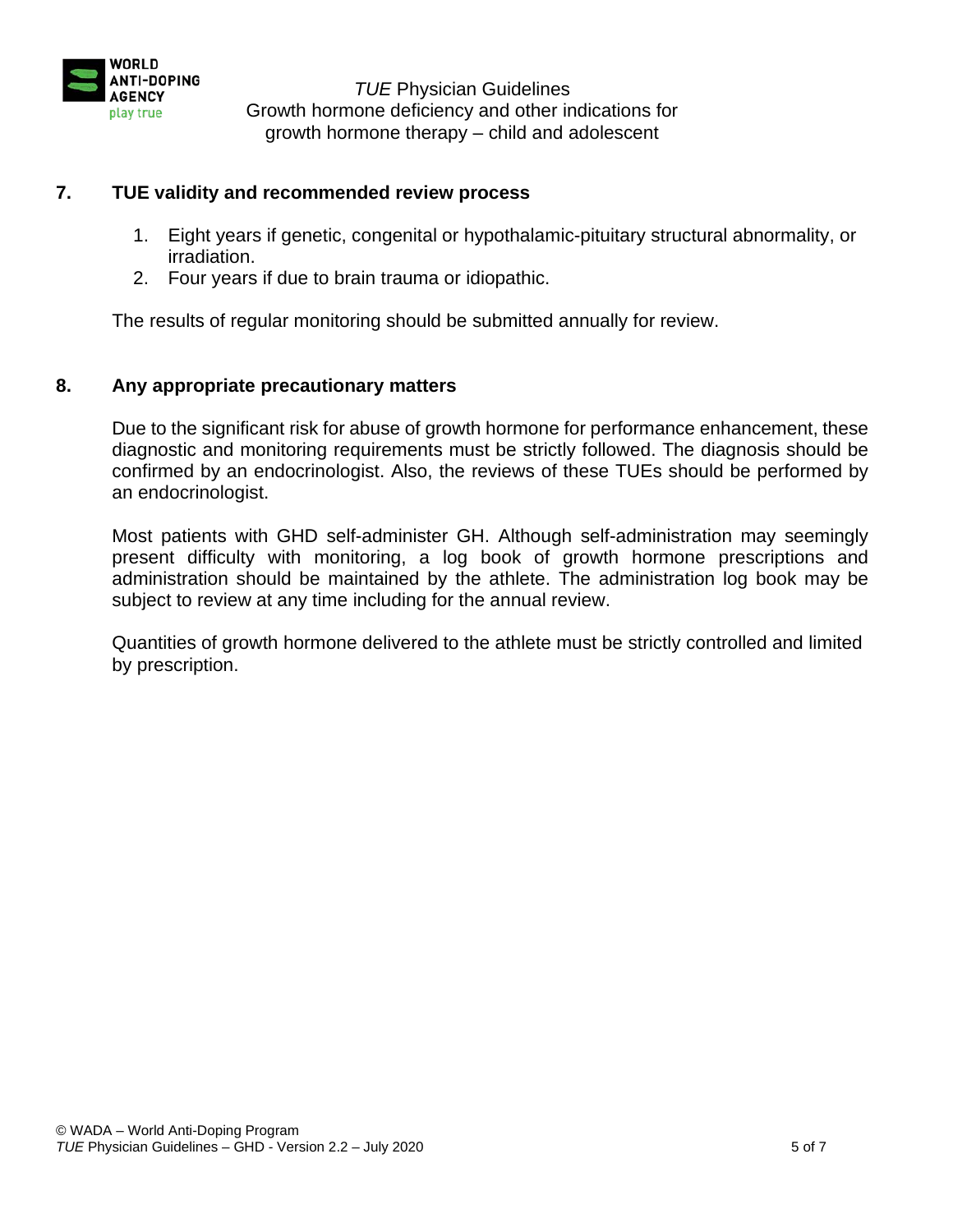

### **7. TUE validity and recommended review process**

- 1. Eight years if genetic, congenital or hypothalamic-pituitary structural abnormality, or irradiation.
- 2. Four years if due to brain trauma or idiopathic.

The results of regular monitoring should be submitted annually for review.

### **8. Any appropriate precautionary matters**

Due to the significant risk for abuse of growth hormone for performance enhancement, these diagnostic and monitoring requirements must be strictly followed. The diagnosis should be confirmed by an endocrinologist. Also, the reviews of these TUEs should be performed by an endocrinologist.

Most patients with GHD self-administer GH. Although self-administration may seemingly present difficulty with monitoring, a log book of growth hormone prescriptions and administration should be maintained by the athlete. The administration log book may be subject to review at any time including for the annual review.

Quantities of growth hormone delivered to the athlete must be strictly controlled and limited by prescription.